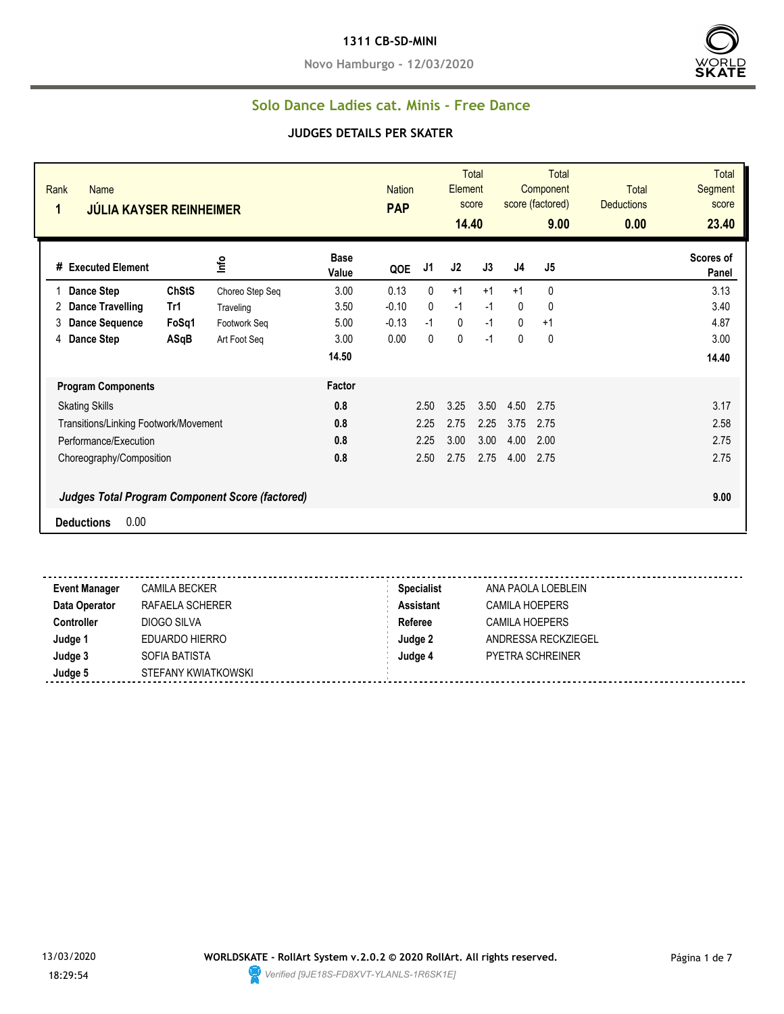#### **1311 CB-SD-MINI**

**Novo Hamburgo - 12/03/2020**



#### **Solo Dance Ladies cat. Minis - Free Dance**

| Rank<br><b>Name</b><br>1<br><b>JÚLIA KAYSER REINHEIMER</b> |              |                 |                      | <b>Nation</b><br><b>PAP</b> |              | Element<br>14.40 | <b>Total</b><br>score |              | <b>Total</b><br>Component<br>score (factored)<br>9.00 | <b>Total</b><br><b>Deductions</b><br>0.00 | <b>Total</b><br>Segment<br>score<br>23.40 |
|------------------------------------------------------------|--------------|-----------------|----------------------|-----------------------------|--------------|------------------|-----------------------|--------------|-------------------------------------------------------|-------------------------------------------|-------------------------------------------|
| # Executed Element                                         |              | lnfo            | <b>Base</b><br>Value | QOE                         | J1           | J2               | J3                    | J4           | J5                                                    |                                           | Scores of<br>Panel                        |
| Dance Step                                                 | <b>ChStS</b> | Choreo Step Seq | 3.00                 | 0.13                        | 0            | $+1$             | $+1$                  | $+1$         | $\mathbf{0}$                                          |                                           | 3.13                                      |
| Dance Travelling<br>2                                      | Tr1          | Traveling       | 3.50                 | $-0.10$                     | $\mathbf{0}$ | $-1$             | $-1$                  | 0            | 0                                                     |                                           | 3.40                                      |
| <b>Dance Sequence</b><br>3                                 | FoSq1        | Footwork Seq    | 5.00                 | $-0.13$                     | $-1$         | $\mathbf 0$      | $-1$                  | $\mathbf{0}$ | $+1$                                                  |                                           | 4.87                                      |
| <b>Dance Step</b><br>4                                     | ASqB         | Art Foot Seq    | 3.00                 | 0.00                        | $\mathbf{0}$ | 0                | $-1$                  | 0            | 0                                                     |                                           | 3.00                                      |
|                                                            |              |                 | 14.50                |                             |              |                  |                       |              |                                                       |                                           | 14.40                                     |
| <b>Program Components</b>                                  |              |                 | Factor               |                             |              |                  |                       |              |                                                       |                                           |                                           |
| <b>Skating Skills</b>                                      |              |                 | 0.8                  |                             | 2.50         | 3.25             | 3.50                  | 4.50         | 2.75                                                  |                                           | 3.17                                      |
| Transitions/Linking Footwork/Movement                      |              |                 | 0.8                  |                             | 2.25         | 2.75             | 2.25                  | 3.75         | 2.75                                                  |                                           | 2.58                                      |
| Performance/Execution                                      |              |                 | 0.8                  |                             | 2.25         | 3.00             | 3.00                  | 4.00         | 2.00                                                  |                                           | 2.75                                      |
| Choreography/Composition                                   |              |                 | 0.8                  |                             | 2.50         | 2.75             | 2.75                  | 4.00         | 2.75                                                  |                                           | 2.75                                      |
| Judges Total Program Component Score (factored)            |              |                 |                      |                             |              |                  |                       |              |                                                       |                                           | 9.00                                      |
| 0.00<br><b>Deductions</b>                                  |              |                 |                      |                             |              |                  |                       |              |                                                       |                                           |                                           |
|                                                            |              |                 |                      |                             |              |                  |                       |              |                                                       |                                           |                                           |

| <b>Event Manager</b> | <b>CAMILA BECKER</b> | <b>Specialist</b> | ANA PAOLA LOEBLEIN      |
|----------------------|----------------------|-------------------|-------------------------|
| Data Operator        | RAFAELA SCHERER      | Assistant         | <b>CAMILA HOEPERS</b>   |
| <b>Controller</b>    | DIOGO SILVA          | Referee           | <b>CAMILA HOEPERS</b>   |
| Judge 1              | EDUARDO HIERRO       | Judge 2           | ANDRESSA RECKZIEGEL     |
| Judge 3              | SOFIA BATISTA        | Judge 4           | <b>PYETRA SCHREINER</b> |
| Judge 5              | STEFANY KWIATKOWSKI  |                   |                         |
|                      |                      |                   |                         |

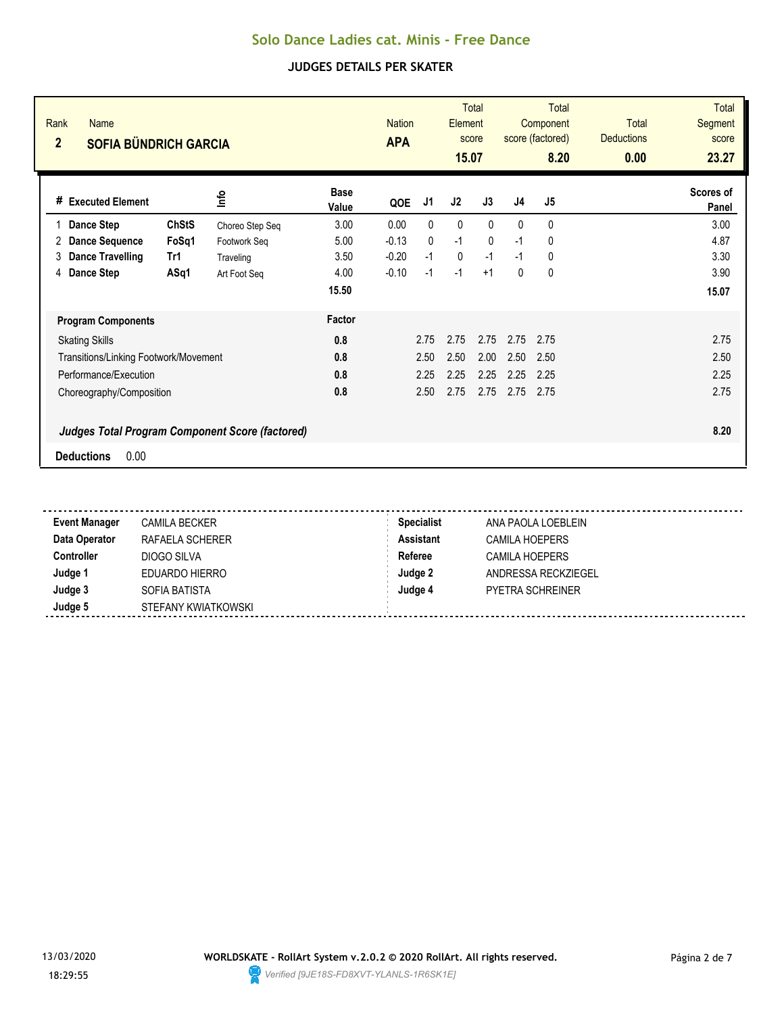| Rank<br><b>Name</b><br>$\overline{2}$<br><b>SOFIA BÜNDRICH GARCIA</b> |                                                        |                      | <b>Nation</b><br><b>APA</b> |              | Element<br>15.07 | <b>Total</b><br>score |                | Total<br>Component<br>score (factored)<br>8.20 | Total<br><b>Deductions</b><br>0.00 | <b>Total</b><br>Segment<br>score<br>23.27 |
|-----------------------------------------------------------------------|--------------------------------------------------------|----------------------|-----------------------------|--------------|------------------|-----------------------|----------------|------------------------------------------------|------------------------------------|-------------------------------------------|
| <b>Executed Element</b><br>#                                          | lnfo                                                   | <b>Base</b><br>Value | QOE                         | J1           | J2               | J3                    | J <sub>4</sub> | J <sub>5</sub>                                 |                                    | Scores of<br>Panel                        |
| Dance Step                                                            | <b>ChStS</b><br>Choreo Step Seq                        | 3.00                 | 0.00                        | $\mathbf{0}$ | $\mathbf{0}$     | $\Omega$              | 0              | 0                                              |                                    | 3.00                                      |
| <b>Dance Sequence</b><br>2                                            | FoSq1<br>Footwork Seq                                  | 5.00                 | $-0.13$                     | $\mathbf{0}$ | $-1$             | $\mathbf{0}$          | $-1$           | 0                                              |                                    | 4.87                                      |
| <b>Dance Travelling</b><br>3<br>Tr1                                   | Traveling                                              | 3.50                 | $-0.20$                     | $-1$         | $\mathbf 0$      | $-1$                  | $-1$           | 0                                              |                                    | 3.30                                      |
| Dance Step<br>4                                                       | ASq1<br>Art Foot Seq                                   | 4.00                 | $-0.10$                     | $-1$         | $-1$             | $+1$                  | 0              | 0                                              |                                    | 3.90                                      |
|                                                                       |                                                        | 15.50                |                             |              |                  |                       |                |                                                |                                    | 15.07                                     |
| <b>Program Components</b>                                             |                                                        | Factor               |                             |              |                  |                       |                |                                                |                                    |                                           |
| <b>Skating Skills</b>                                                 |                                                        | 0.8                  |                             | 2.75         | 2.75             | 2.75                  | 2.75           | 2.75                                           |                                    | 2.75                                      |
| Transitions/Linking Footwork/Movement                                 |                                                        | 0.8                  |                             | 2.50         | 2.50             | 2.00                  | 2.50           | 2.50                                           |                                    | 2.50                                      |
| Performance/Execution                                                 |                                                        | 0.8                  |                             | 2.25         | 2.25             | 2.25                  | 2.25           | 2.25                                           |                                    | 2.25                                      |
| Choreography/Composition                                              |                                                        | 0.8                  |                             | 2.50         | 2.75             | 2.75                  | 2.75           | 2.75                                           |                                    | 2.75                                      |
|                                                                       | <b>Judges Total Program Component Score (factored)</b> |                      |                             |              |                  |                       |                |                                                |                                    | 8.20                                      |
| 0.00<br><b>Deductions</b>                                             |                                                        |                      |                             |              |                  |                       |                |                                                |                                    |                                           |

| CAMILA BECKER       | <b>Specialist</b> | ANA PAOLA LOEBLEIN      |
|---------------------|-------------------|-------------------------|
| RAFAELA SCHERER     | <b>Assistant</b>  | <b>CAMILA HOEPERS</b>   |
| DIOGO SILVA         | Referee           | <b>CAMILA HOEPERS</b>   |
| EDUARDO HIERRO      | Judge 2           | ANDRESSA RECKZIEGEL     |
| SOFIA BATISTA       | Judge 4           | <b>PYETRA SCHREINER</b> |
| STEFANY KWIATKOWSKI |                   |                         |
|                     |                   |                         |

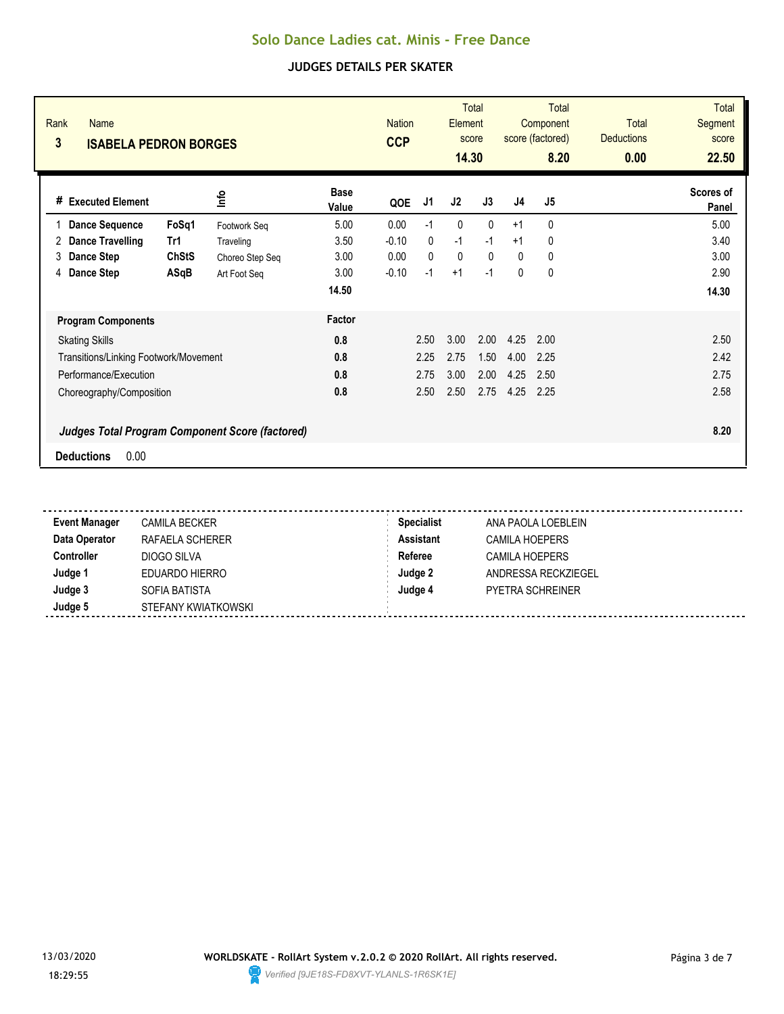| Rank<br><b>Name</b><br>3<br><b>ISABELA PEDRON BORGES</b> |                 |                      | <b>Nation</b><br><b>CCP</b> |              | <b>Element</b><br>14.30 | <b>Total</b><br>score |                | <b>Total</b><br>Component<br>score (factored)<br>8.20 | <b>Total</b><br><b>Deductions</b><br>0.00 | <b>Total</b><br>Segment<br>score<br>22.50 |
|----------------------------------------------------------|-----------------|----------------------|-----------------------------|--------------|-------------------------|-----------------------|----------------|-------------------------------------------------------|-------------------------------------------|-------------------------------------------|
| # Executed Element                                       | lnfo            | <b>Base</b><br>Value | QOE                         | J1           | J2                      | J3                    | J <sub>4</sub> | J <sub>5</sub>                                        |                                           | Scores of<br>Panel                        |
| FoSq1<br><b>Dance Sequence</b>                           | Footwork Seq    | 5.00                 | 0.00                        | $-1$         | 0                       | $\mathbf{0}$          | $+1$           | 0                                                     |                                           | 5.00                                      |
| <b>Dance Travelling</b><br>Tr1<br>2                      | Traveling       | 3.50                 | $-0.10$                     | $\mathbf{0}$ | $-1$                    | $-1$                  | $+1$           | 0                                                     |                                           | 3.40                                      |
| <b>ChStS</b><br>Dance Step<br>3                          | Choreo Step Seq | 3.00                 | 0.00                        | $\Omega$     | $\mathbf{0}$            | $\Omega$              | $\mathbf{0}$   | 0                                                     |                                           | 3.00                                      |
| 4 Dance Step<br>ASqB                                     | Art Foot Seq    | 3.00                 | $-0.10$                     | $-1$         | $+1$                    | $-1$                  | $\mathbf{0}$   | $\mathbf 0$                                           |                                           | 2.90                                      |
|                                                          |                 | 14.50                |                             |              |                         |                       |                |                                                       |                                           | 14.30                                     |
| <b>Program Components</b>                                |                 | Factor               |                             |              |                         |                       |                |                                                       |                                           |                                           |
| <b>Skating Skills</b>                                    |                 | 0.8                  |                             | 2.50         | 3.00                    | 2.00                  | 4.25           | 2.00                                                  |                                           | 2.50                                      |
| <b>Transitions/Linking Footwork/Movement</b>             |                 | 0.8                  |                             | 2.25         | 2.75                    | 1.50                  | 4.00           | 2.25                                                  |                                           | 2.42                                      |
| Performance/Execution                                    |                 | 0.8                  |                             | 2.75         | 3.00                    | 2.00                  | 4.25           | 2.50                                                  |                                           | 2.75                                      |
| Choreography/Composition                                 |                 | 0.8                  |                             | 2.50         | 2.50                    | 2.75                  | 4.25           | 2.25                                                  |                                           | 2.58                                      |
| <b>Judges Total Program Component Score (factored)</b>   |                 |                      |                             |              |                         |                       |                |                                                       |                                           | 8.20                                      |
| 0.00<br><b>Deductions</b>                                |                 |                      |                             |              |                         |                       |                |                                                       |                                           |                                           |

| <b>Event Manager</b> | CAMILA BECKER       | <b>Specialist</b> | ANA PAOLA LOEBLEIN      |
|----------------------|---------------------|-------------------|-------------------------|
| Data Operator        | RAFAELA SCHERER     | <b>Assistant</b>  | <b>CAMILA HOEPERS</b>   |
| <b>Controller</b>    | DIOGO SILVA         | Referee           | CAMILA HOEPERS          |
| Judge 1              | EDUARDO HIERRO      | Judge 2           | ANDRESSA RECKZIEGEL     |
| Judge 3              | SOFIA BATISTA       | Judge 4           | <b>PYETRA SCHREINER</b> |
| Judge 5              | STEFANY KWIATKOWSKI |                   |                         |

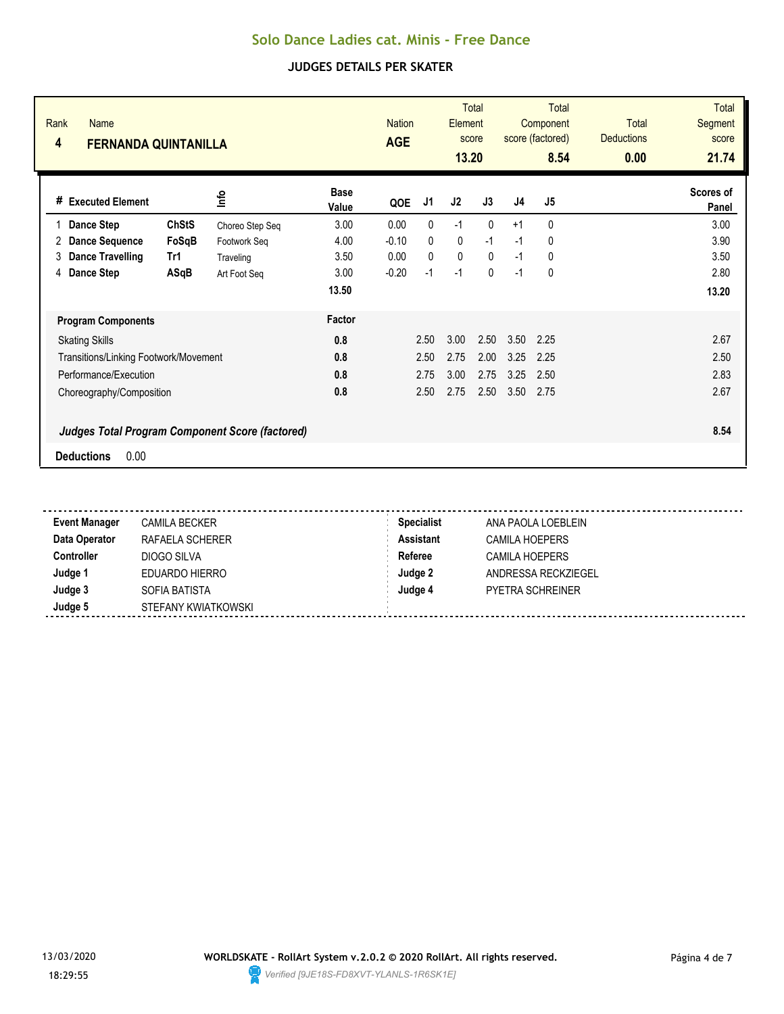| Rank<br><b>Name</b><br>4<br><b>FERNANDA QUINTANILLA</b> |              |                 |                      | <b>Nation</b><br><b>AGE</b> |      | Element<br>13.20 | <b>Total</b><br>score |                | Total<br>Component<br>score (factored)<br>8.54 | <b>Total</b><br><b>Deductions</b><br>0.00 | <b>Total</b><br>Segment<br>score<br>21.74 |
|---------------------------------------------------------|--------------|-----------------|----------------------|-----------------------------|------|------------------|-----------------------|----------------|------------------------------------------------|-------------------------------------------|-------------------------------------------|
| # Executed Element                                      |              | <b>Info</b>     | <b>Base</b><br>Value | QOE                         | J1   | J2               | J3                    | J <sub>4</sub> | J <sub>5</sub>                                 |                                           | Scores of<br>Panel                        |
| Dance Step                                              | <b>ChStS</b> | Choreo Step Seq | 3.00                 | 0.00                        | 0    | $-1$             | $\mathbf{0}$          | $+1$           | $\mathbf{0}$                                   |                                           | 3.00                                      |
| <b>Dance Sequence</b><br>2                              | FoSqB        | Footwork Seq    | 4.00                 | $-0.10$                     | 0    | 0                | $-1$                  | $-1$           | 0                                              |                                           | 3.90                                      |
| Dance Travelling<br>3                                   | Tr1          | Traveling       | 3.50                 | 0.00                        | 0    | 0                | $\mathbf{0}$          | $-1$           | 0                                              |                                           | 3.50                                      |
| Dance Step<br>4                                         | ASqB         | Art Foot Seq    | 3.00                 | $-0.20$                     | $-1$ | $-1$             | $\mathbf{0}$          | $-1$           | 0                                              |                                           | 2.80                                      |
|                                                         |              |                 | 13.50                |                             |      |                  |                       |                |                                                |                                           | 13.20                                     |
| <b>Program Components</b>                               |              |                 | Factor               |                             |      |                  |                       |                |                                                |                                           |                                           |
| <b>Skating Skills</b>                                   |              |                 | 0.8                  |                             | 2.50 | 3.00             | 2.50                  | 3.50           | 2.25                                           |                                           | 2.67                                      |
| Transitions/Linking Footwork/Movement                   |              |                 | 0.8                  |                             | 2.50 | 2.75             | 2.00                  | 3.25           | 2.25                                           |                                           | 2.50                                      |
| Performance/Execution                                   |              |                 | 0.8                  |                             | 2.75 | 3.00             | 2.75                  | 3.25           | 2.50                                           |                                           | 2.83                                      |
| Choreography/Composition                                |              |                 | 0.8                  |                             | 2.50 | 2.75             | 2.50                  | 3.50           | 2.75                                           |                                           | 2.67                                      |
| <b>Judges Total Program Component Score (factored)</b>  |              |                 |                      |                             |      |                  |                       |                |                                                |                                           | 8.54                                      |
| 0.00<br><b>Deductions</b>                               |              |                 |                      |                             |      |                  |                       |                |                                                |                                           |                                           |

| CAMILA BECKER       | <b>Specialist</b> | ANA PAOLA LOEBLEIN      |
|---------------------|-------------------|-------------------------|
| RAFAELA SCHERER     | <b>Assistant</b>  | <b>CAMILA HOEPERS</b>   |
| DIOGO SILVA         | Referee           | <b>CAMILA HOEPERS</b>   |
| EDUARDO HIERRO      | Judge 2           | ANDRESSA RECKZIEGEL     |
| SOFIA BATISTA       | Judge 4           | <b>PYETRA SCHREINER</b> |
| STEFANY KWIATKOWSKI |                   |                         |
|                     |                   |                         |

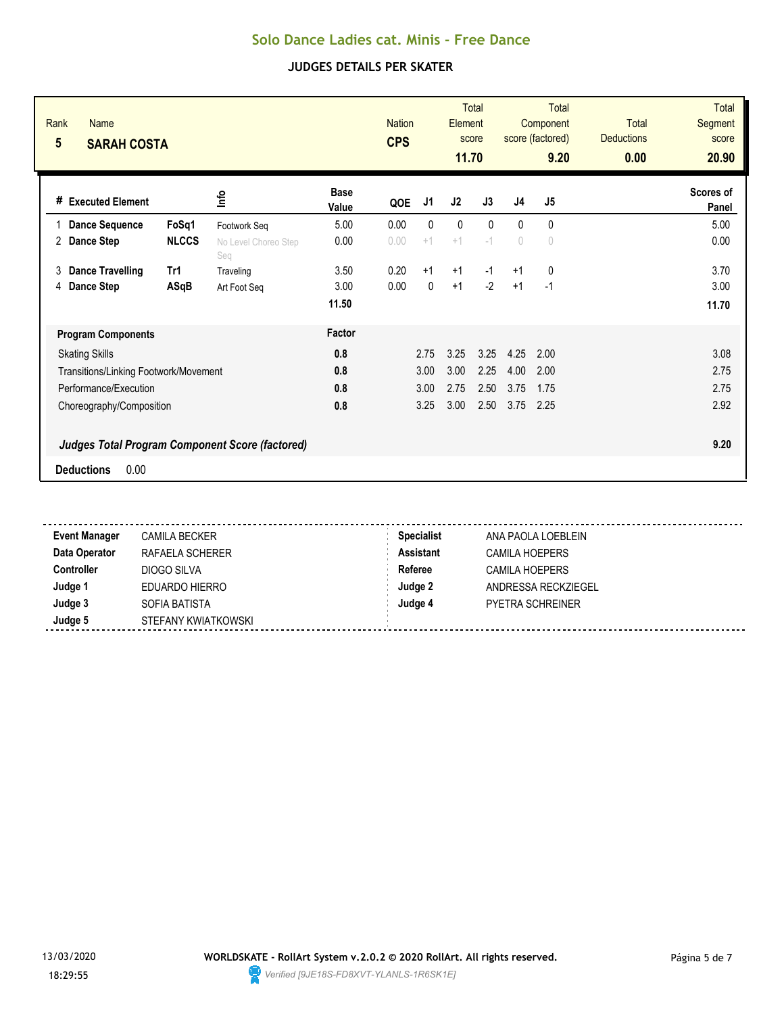| Rank<br>Name<br>$5\phantom{.0}$<br><b>SARAH COSTA</b>  |                             |                      | <b>Nation</b><br><b>CPS</b> |      | Element<br>11.70 | <b>Total</b><br>score |            | <b>Total</b><br>Component<br>score (factored)<br>9.20 | <b>Total</b><br><b>Deductions</b><br>0.00 | <b>Total</b><br>Segment<br>score<br>20.90 |
|--------------------------------------------------------|-----------------------------|----------------------|-----------------------------|------|------------------|-----------------------|------------|-------------------------------------------------------|-------------------------------------------|-------------------------------------------|
| <b>Executed Element</b><br>#                           | lnfo                        | <b>Base</b><br>Value | QOE                         | J1   | J2               | J3                    | J4         | J5                                                    |                                           | Scores of<br>Panel                        |
| FoSq1<br><b>Dance Sequence</b>                         | Footwork Seq                | 5.00                 | 0.00                        | 0    | $\mathbf{0}$     | $\Omega$              | $\Omega$   | 0                                                     |                                           | 5.00                                      |
| <b>NLCCS</b><br>2<br>Dance Step                        | No Level Choreo Step<br>Seg | 0.00                 | 0.00                        | $+1$ | $+1$             | $-1$                  | $\sqrt{2}$ | $\cup$                                                |                                           | 0.00                                      |
| <b>Dance Travelling</b><br>Tr1<br>3                    | Traveling                   | 3.50                 | 0.20                        | $+1$ | $+1$             | $-1$                  | $+1$       | $\mathbf 0$                                           |                                           | 3.70                                      |
| Dance Step<br>ASqB<br>4                                | Art Foot Seg                | 3.00                 | 0.00                        | 0    | $+1$             | $-2$                  | $+1$       | $-1$                                                  |                                           | 3.00                                      |
|                                                        |                             | 11.50                |                             |      |                  |                       |            |                                                       |                                           | 11.70                                     |
| <b>Program Components</b>                              |                             | Factor               |                             |      |                  |                       |            |                                                       |                                           |                                           |
| <b>Skating Skills</b>                                  |                             | 0.8                  |                             | 2.75 | 3.25             | 3.25                  | 4.25       | 2.00                                                  |                                           | 3.08                                      |
| Transitions/Linking Footwork/Movement                  |                             | 0.8                  |                             | 3.00 | 3.00             | 2.25                  | 4.00       | 2.00                                                  |                                           | 2.75                                      |
| Performance/Execution                                  |                             | 0.8                  |                             | 3.00 | 2.75             | 2.50                  | 3.75       | 1.75                                                  |                                           | 2.75                                      |
| Choreography/Composition                               |                             | 0.8                  |                             | 3.25 | 3.00             | 2.50                  | 3.75       | 2.25                                                  |                                           | 2.92                                      |
| <b>Judges Total Program Component Score (factored)</b> |                             |                      |                             |      |                  |                       |            |                                                       |                                           | 9.20                                      |
| 0.00<br><b>Deductions</b>                              |                             |                      |                             |      |                  |                       |            |                                                       |                                           |                                           |

| <b>CAMILA BECKER</b> | <b>Specialist</b> | ANA PAOLA LOEBLEIN      |  |
|----------------------|-------------------|-------------------------|--|
| RAFAELA SCHERER      | <b>Assistant</b>  | <b>CAMILA HOEPERS</b>   |  |
| DIOGO SILVA          | Referee           | <b>CAMILA HOEPERS</b>   |  |
| EDUARDO HIERRO       | Judge 2           | ANDRESSA RECKZIEGEL     |  |
| SOFIA BATISTA        | Judge 4           | <b>PYETRA SCHREINER</b> |  |
| STEFANY KWIATKOWSKI  |                   |                         |  |
|                      |                   |                         |  |

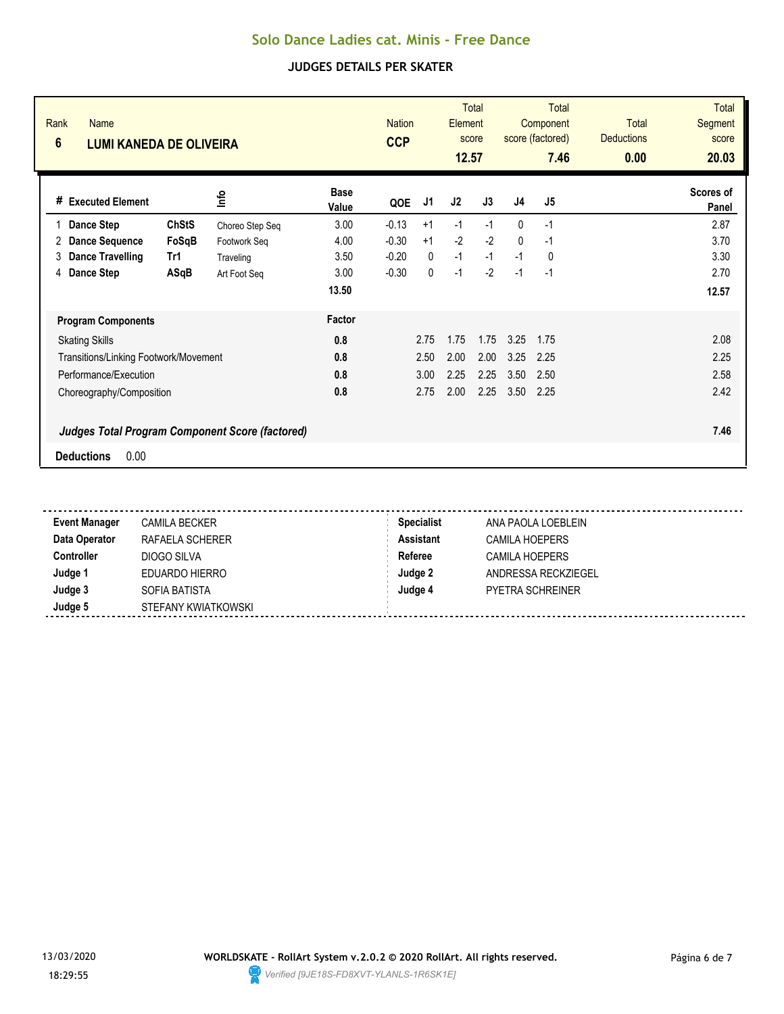| Rank<br><b>Name</b><br>$6\phantom{1}$<br><b>LUMI KANEDA DE OLIVEIRA</b> |              |                 |                      | <b>Nation</b><br><b>CCP</b> |              | Element<br>12.57 | <b>Total</b><br>score |                | Total<br>Component<br>score (factored)<br>7.46 | <b>Total</b><br><b>Deductions</b><br>0.00 | <b>Total</b><br>Segment<br>score<br>20.03 |
|-------------------------------------------------------------------------|--------------|-----------------|----------------------|-----------------------------|--------------|------------------|-----------------------|----------------|------------------------------------------------|-------------------------------------------|-------------------------------------------|
| # Executed Element                                                      |              | ٩f              | <b>Base</b><br>Value | QOE                         | J1           | J2               | J3                    | J <sub>4</sub> | J <sub>5</sub>                                 |                                           | Scores of<br>Panel                        |
| Dance Step                                                              | <b>ChStS</b> | Choreo Step Seq | 3.00                 | $-0.13$                     | $+1$         | $-1$             | $-1$                  | $\mathbf{0}$   | $-1$                                           |                                           | 2.87                                      |
| <b>Dance Sequence</b><br>2                                              | FoSqB        | Footwork Seq    | 4.00                 | $-0.30$                     | $+1$         | $-2$             | $-2$                  | $\Omega$       | $-1$                                           |                                           | 3.70                                      |
| Dance Travelling<br>3                                                   | Tr1          | Traveling       | 3.50                 | $-0.20$                     | $\mathbf{0}$ | $-1$             | $-1$                  | $-1$           | $\mathbf{0}$                                   |                                           | 3.30                                      |
| Dance Step<br>4                                                         | ASqB         | Art Foot Seq    | 3.00                 | $-0.30$                     | 0            | $-1$             | $-2$                  | $-1$           | $-1$                                           |                                           | 2.70                                      |
|                                                                         |              |                 | 13.50                |                             |              |                  |                       |                |                                                |                                           | 12.57                                     |
| <b>Program Components</b>                                               |              |                 | Factor               |                             |              |                  |                       |                |                                                |                                           |                                           |
| <b>Skating Skills</b>                                                   |              |                 | 0.8                  |                             | 2.75         | 1.75             | 1.75                  | 3.25           | 1.75                                           |                                           | 2.08                                      |
| Transitions/Linking Footwork/Movement                                   |              |                 | 0.8                  |                             | 2.50         | 2.00             | 2.00                  | 3.25           | 2.25                                           |                                           | 2.25                                      |
| Performance/Execution                                                   |              |                 | 0.8                  |                             | 3.00         | 2.25             | 2.25                  | 3.50           | 2.50                                           |                                           | 2.58                                      |
| Choreography/Composition                                                |              |                 | 0.8                  |                             | 2.75         | 2.00             | 2.25                  | 3.50           | 2.25                                           |                                           | 2.42                                      |
| <b>Judges Total Program Component Score (factored)</b>                  |              |                 |                      |                             |              |                  |                       |                |                                                |                                           | 7.46                                      |
| 0.00<br><b>Deductions</b>                                               |              |                 |                      |                             |              |                  |                       |                |                                                |                                           |                                           |

| CAMILA BECKER       | <b>Specialist</b> | ANA PAOLA LOEBLEIN      |
|---------------------|-------------------|-------------------------|
| RAFAELA SCHERER     | <b>Assistant</b>  | <b>CAMILA HOEPERS</b>   |
| DIOGO SILVA         | Referee           | <b>CAMILA HOEPERS</b>   |
| EDUARDO HIERRO      | Judge 2           | ANDRESSA RECKZIEGEL     |
| SOFIA BATISTA       | Judge 4           | <b>PYETRA SCHREINER</b> |
| STEFANY KWIATKOWSKI |                   |                         |
|                     |                   |                         |